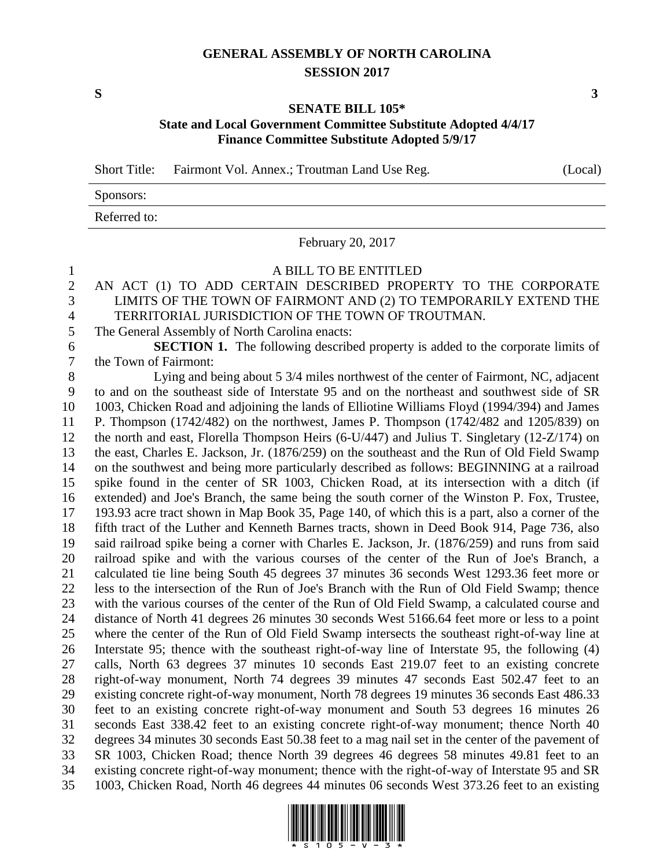## **GENERAL ASSEMBLY OF NORTH CAROLINA SESSION 2017**

### **SENATE BILL 105\* State and Local Government Committee Substitute Adopted 4/4/17 Finance Committee Substitute Adopted 5/9/17**

Short Title: Fairmont Vol. Annex.; Troutman Land Use Reg. (Local)

# Sponsors: Referred to:

February 20, 2017

A BILL TO BE ENTITLED

## AN ACT (1) TO ADD CERTAIN DESCRIBED PROPERTY TO THE CORPORATE LIMITS OF THE TOWN OF FAIRMONT AND (2) TO TEMPORARILY EXTEND THE TERRITORIAL JURISDICTION OF THE TOWN OF TROUTMAN.

The General Assembly of North Carolina enacts:

 **SECTION 1.** The following described property is added to the corporate limits of the Town of Fairmont:

 Lying and being about 5 3/4 miles northwest of the center of Fairmont, NC, adjacent to and on the southeast side of Interstate 95 and on the northeast and southwest side of SR 1003, Chicken Road and adjoining the lands of Elliotine Williams Floyd (1994/394) and James P. Thompson (1742/482) on the northwest, James P. Thompson (1742/482 and 1205/839) on the north and east, Florella Thompson Heirs (6-U/447) and Julius T. Singletary (12-Z/174) on the east, Charles E. Jackson, Jr. (1876/259) on the southeast and the Run of Old Field Swamp on the southwest and being more particularly described as follows: BEGINNING at a railroad spike found in the center of SR 1003, Chicken Road, at its intersection with a ditch (if extended) and Joe's Branch, the same being the south corner of the Winston P. Fox, Trustee, 193.93 acre tract shown in Map Book 35, Page 140, of which this is a part, also a corner of the fifth tract of the Luther and Kenneth Barnes tracts, shown in Deed Book 914, Page 736, also said railroad spike being a corner with Charles E. Jackson, Jr. (1876/259) and runs from said railroad spike and with the various courses of the center of the Run of Joe's Branch, a calculated tie line being South 45 degrees 37 minutes 36 seconds West 1293.36 feet more or less to the intersection of the Run of Joe's Branch with the Run of Old Field Swamp; thence with the various courses of the center of the Run of Old Field Swamp, a calculated course and distance of North 41 degrees 26 minutes 30 seconds West 5166.64 feet more or less to a point where the center of the Run of Old Field Swamp intersects the southeast right-of-way line at Interstate 95; thence with the southeast right-of-way line of Interstate 95, the following (4) calls, North 63 degrees 37 minutes 10 seconds East 219.07 feet to an existing concrete right-of-way monument, North 74 degrees 39 minutes 47 seconds East 502.47 feet to an existing concrete right-of-way monument, North 78 degrees 19 minutes 36 seconds East 486.33 feet to an existing concrete right-of-way monument and South 53 degrees 16 minutes 26 seconds East 338.42 feet to an existing concrete right-of-way monument; thence North 40 degrees 34 minutes 30 seconds East 50.38 feet to a mag nail set in the center of the pavement of SR 1003, Chicken Road; thence North 39 degrees 46 degrees 58 minutes 49.81 feet to an existing concrete right-of-way monument; thence with the right-of-way of Interstate 95 and SR 1003, Chicken Road, North 46 degrees 44 minutes 06 seconds West 373.26 feet to an existing



**S 3**